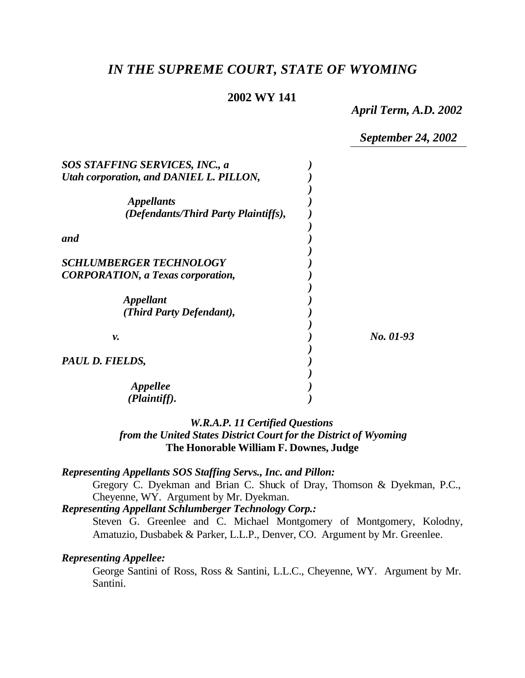# *IN THE SUPREME COURT, STATE OF WYOMING*

## **2002 WY 141**

*April Term, A.D. 2002*

*September 24, 2002*

| SOS STAFFING SERVICES, INC., a                                             |           |
|----------------------------------------------------------------------------|-----------|
| Utah corporation, and DANIEL L. PILLON,                                    |           |
| <i><b>Appellants</b></i><br>(Defendants/Third Party Plaintiffs),           |           |
| and                                                                        |           |
| <b>SCHLUMBERGER TECHNOLOGY</b><br><b>CORPORATION, a Texas corporation,</b> |           |
| <i><b>Appellant</b></i><br>(Third Party Defendant),                        |           |
| ν.                                                                         | No. 01-93 |
| PAUL D. FIELDS,                                                            |           |
| <i>Appellee</i><br>(Plaintiff).                                            |           |

## *W.R.A.P. 11 Certified Questions from the United States District Court for the District of Wyoming* **The Honorable William F. Downes, Judge**

#### *Representing Appellants SOS Staffing Servs., Inc. and Pillon:*

Gregory C. Dyekman and Brian C. Shuck of Dray, Thomson & Dyekman, P.C., Cheyenne, WY. Argument by Mr. Dyekman.

*Representing Appellant Schlumberger Technology Corp.:*

Steven G. Greenlee and C. Michael Montgomery of Montgomery, Kolodny, Amatuzio, Dusbabek & Parker, L.L.P., Denver, CO. Argument by Mr. Greenlee.

#### *Representing Appellee:*

George Santini of Ross, Ross & Santini, L.L.C., Cheyenne, WY. Argument by Mr. Santini.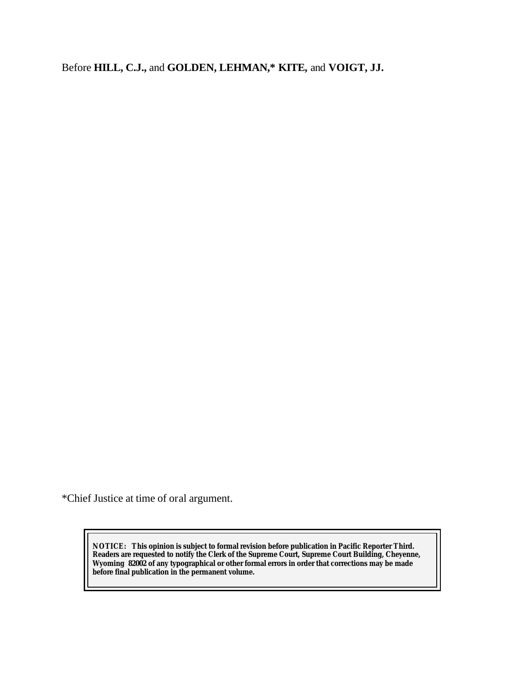Before **HILL, C.J.,** and **GOLDEN, LEHMAN,\* KITE,** and **VOIGT, JJ.**

\*Chief Justice at time of oral argument.

**NOTICE:** *This opinion is subject to formal revision before publication in Pacific Reporter Third. Readers are requested to notify the Clerk of the Supreme Court, Supreme Court Building, Cheyenne, Wyoming 82002 of any typographical or other formal errors in order that corrections may be made before final publication in the permanent volume.*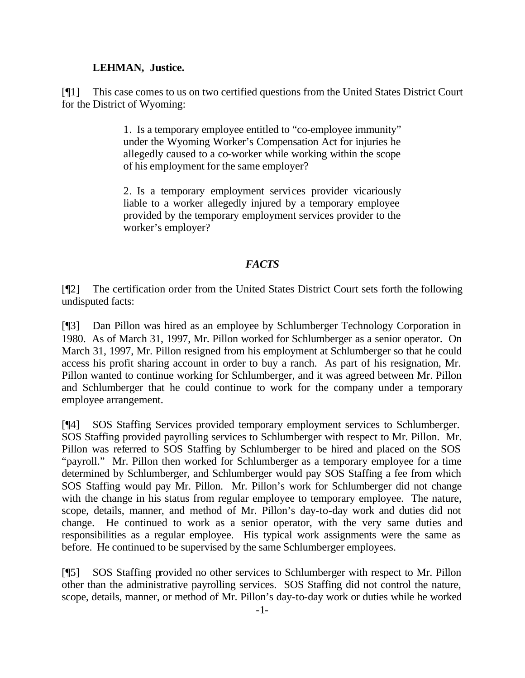## **LEHMAN, Justice.**

[¶1] This case comes to us on two certified questions from the United States District Court for the District of Wyoming:

> 1. Is a temporary employee entitled to "co-employee immunity" under the Wyoming Worker's Compensation Act for injuries he allegedly caused to a co-worker while working within the scope of his employment for the same employer?

> 2. Is a temporary employment services provider vicariously liable to a worker allegedly injured by a temporary employee provided by the temporary employment services provider to the worker's employer?

# *FACTS*

[¶2] The certification order from the United States District Court sets forth the following undisputed facts:

[¶3] Dan Pillon was hired as an employee by Schlumberger Technology Corporation in 1980. As of March 31, 1997, Mr. Pillon worked for Schlumberger as a senior operator. On March 31, 1997, Mr. Pillon resigned from his employment at Schlumberger so that he could access his profit sharing account in order to buy a ranch. As part of his resignation, Mr. Pillon wanted to continue working for Schlumberger, and it was agreed between Mr. Pillon and Schlumberger that he could continue to work for the company under a temporary employee arrangement.

[¶4] SOS Staffing Services provided temporary employment services to Schlumberger. SOS Staffing provided payrolling services to Schlumberger with respect to Mr. Pillon. Mr. Pillon was referred to SOS Staffing by Schlumberger to be hired and placed on the SOS "payroll." Mr. Pillon then worked for Schlumberger as a temporary employee for a time determined by Schlumberger, and Schlumberger would pay SOS Staffing a fee from which SOS Staffing would pay Mr. Pillon. Mr. Pillon's work for Schlumberger did not change with the change in his status from regular employee to temporary employee. The nature, scope, details, manner, and method of Mr. Pillon's day-to-day work and duties did not change. He continued to work as a senior operator, with the very same duties and responsibilities as a regular employee. His typical work assignments were the same as before. He continued to be supervised by the same Schlumberger employees.

[¶5] SOS Staffing provided no other services to Schlumberger with respect to Mr. Pillon other than the administrative payrolling services. SOS Staffing did not control the nature, scope, details, manner, or method of Mr. Pillon's day-to-day work or duties while he worked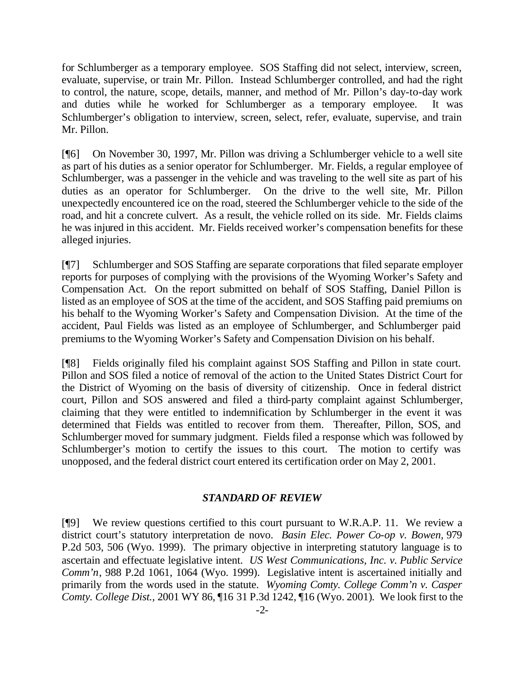for Schlumberger as a temporary employee. SOS Staffing did not select, interview, screen, evaluate, supervise, or train Mr. Pillon. Instead Schlumberger controlled, and had the right to control, the nature, scope, details, manner, and method of Mr. Pillon's day-to-day work and duties while he worked for Schlumberger as a temporary employee. It was Schlumberger's obligation to interview, screen, select, refer, evaluate, supervise, and train Mr. Pillon.

[¶6] On November 30, 1997, Mr. Pillon was driving a Schlumberger vehicle to a well site as part of his duties as a senior operator for Schlumberger. Mr. Fields, a regular employee of Schlumberger, was a passenger in the vehicle and was traveling to the well site as part of his duties as an operator for Schlumberger. On the drive to the well site, Mr. Pillon unexpectedly encountered ice on the road, steered the Schlumberger vehicle to the side of the road, and hit a concrete culvert. As a result, the vehicle rolled on its side. Mr. Fields claims he was injured in this accident. Mr. Fields received worker's compensation benefits for these alleged injuries.

[¶7] Schlumberger and SOS Staffing are separate corporations that filed separate employer reports for purposes of complying with the provisions of the Wyoming Worker's Safety and Compensation Act. On the report submitted on behalf of SOS Staffing, Daniel Pillon is listed as an employee of SOS at the time of the accident, and SOS Staffing paid premiums on his behalf to the Wyoming Worker's Safety and Compensation Division. At the time of the accident, Paul Fields was listed as an employee of Schlumberger, and Schlumberger paid premiums to the Wyoming Worker's Safety and Compensation Division on his behalf.

[¶8] Fields originally filed his complaint against SOS Staffing and Pillon in state court. Pillon and SOS filed a notice of removal of the action to the United States District Court for the District of Wyoming on the basis of diversity of citizenship. Once in federal district court, Pillon and SOS answered and filed a third-party complaint against Schlumberger, claiming that they were entitled to indemnification by Schlumberger in the event it was determined that Fields was entitled to recover from them. Thereafter, Pillon, SOS, and Schlumberger moved for summary judgment. Fields filed a response which was followed by Schlumberger's motion to certify the issues to this court. The motion to certify was unopposed, and the federal district court entered its certification order on May 2, 2001.

#### *STANDARD OF REVIEW*

[¶9] We review questions certified to this court pursuant to W.R.A.P. 11. We review a district court's statutory interpretation de novo. *Basin Elec. Power Co-op v. Bowen,* 979 P.2d 503, 506 (Wyo. 1999). The primary objective in interpreting statutory language is to ascertain and effectuate legislative intent. *US West Communications, Inc. v. Public Service Comm'n*, 988 P.2d 1061, 1064 (Wyo. 1999). Legislative intent is ascertained initially and primarily from the words used in the statute. *Wyoming Comty. College Comm'n v. Casper Comty. College Dist.,* 2001 WY 86, ¶16 31 P.3d 1242, ¶16 (Wyo. 2001)*.* We look first to the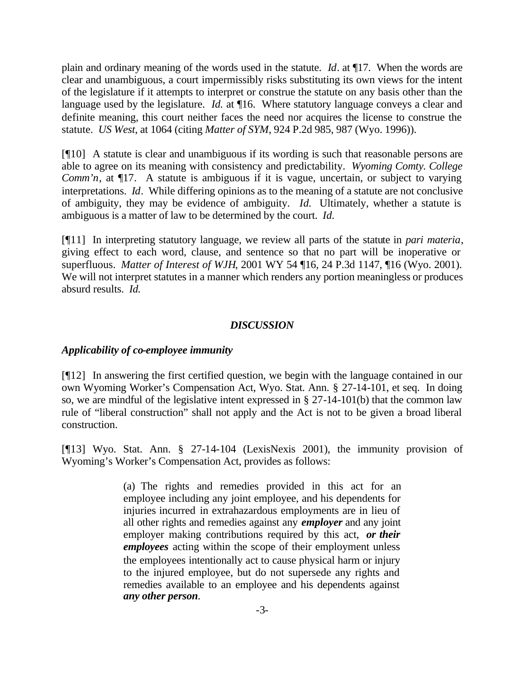plain and ordinary meaning of the words used in the statute. *Id*. at ¶17. When the words are clear and unambiguous, a court impermissibly risks substituting its own views for the intent of the legislature if it attempts to interpret or construe the statute on any basis other than the language used by the legislature. *Id.* at ¶16. Where statutory language conveys a clear and definite meaning, this court neither faces the need nor acquires the license to construe the statute. *US West*, at 1064 (citing *Matter of SYM*, 924 P.2d 985, 987 (Wyo. 1996)).

[¶10] A statute is clear and unambiguous if its wording is such that reasonable persons are able to agree on its meaning with consistency and predictability. *Wyoming Comty. College Comm'n*, at  $\P$ 17. A statute is ambiguous if it is vague, uncertain, or subject to varying interpretations. *Id*. While differing opinions as to the meaning of a statute are not conclusive of ambiguity, they may be evidence of ambiguity. *Id.* Ultimately, whether a statute is ambiguous is a matter of law to be determined by the court. *Id.*

[¶11] In interpreting statutory language, we review all parts of the statute in *pari materia*, giving effect to each word, clause, and sentence so that no part will be inoperative or superfluous. *Matter of Interest of WJH*, 2001 WY 54 ¶16, 24 P.3d 1147, ¶16 (Wyo. 2001). We will not interpret statutes in a manner which renders any portion meaningless or produces absurd results. *Id.* 

## *DISCUSSION*

# *Applicability of co-employee immunity*

[¶12] In answering the first certified question, we begin with the language contained in our own Wyoming Worker's Compensation Act, Wyo. Stat. Ann. § 27-14-101, et seq. In doing so, we are mindful of the legislative intent expressed in  $\S 27-14-101(b)$  that the common law rule of "liberal construction" shall not apply and the Act is not to be given a broad liberal construction.

[¶13] Wyo. Stat. Ann. § 27-14-104 (LexisNexis 2001), the immunity provision of Wyoming's Worker's Compensation Act, provides as follows:

> (a) The rights and remedies provided in this act for an employee including any joint employee, and his dependents for injuries incurred in extrahazardous employments are in lieu of all other rights and remedies against any *employer* and any joint employer making contributions required by this act, *or their employees* acting within the scope of their employment unless the employees intentionally act to cause physical harm or injury to the injured employee, but do not supersede any rights and remedies available to an employee and his dependents against *any other person.*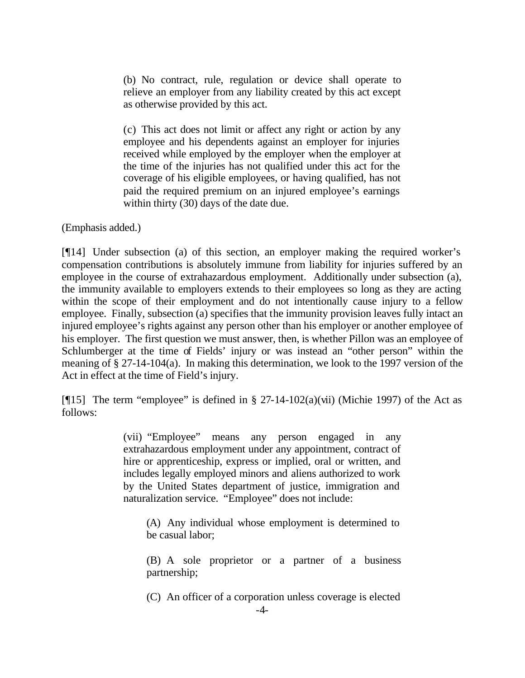(b) No contract, rule, regulation or device shall operate to relieve an employer from any liability created by this act except as otherwise provided by this act.

(c) This act does not limit or affect any right or action by any employee and his dependents against an employer for injuries received while employed by the employer when the employer at the time of the injuries has not qualified under this act for the coverage of his eligible employees, or having qualified, has not paid the required premium on an injured employee's earnings within thirty (30) days of the date due.

(Emphasis added.)

[¶14] Under subsection (a) of this section, an employer making the required worker's compensation contributions is absolutely immune from liability for injuries suffered by an employee in the course of extrahazardous employment. Additionally under subsection (a), the immunity available to employers extends to their employees so long as they are acting within the scope of their employment and do not intentionally cause injury to a fellow employee. Finally, subsection (a) specifies that the immunity provision leaves fully intact an injured employee's rights against any person other than his employer or another employee of his employer. The first question we must answer, then, is whether Pillon was an employee of Schlumberger at the time of Fields' injury or was instead an "other person" within the meaning of § 27-14-104(a). In making this determination, we look to the 1997 version of the Act in effect at the time of Field's injury.

[ $\llbracket$ 15] The term "employee" is defined in § 27-14-102(a)(vii) (Michie 1997) of the Act as follows:

> (vii) "Employee" means any person engaged in any extrahazardous employment under any appointment, contract of hire or apprenticeship, express or implied, oral or written, and includes legally employed minors and aliens authorized to work by the United States department of justice, immigration and naturalization service. "Employee" does not include:

(A) Any individual whose employment is determined to be casual labor;

(B) A sole proprietor or a partner of a business partnership;

(C) An officer of a corporation unless coverage is elected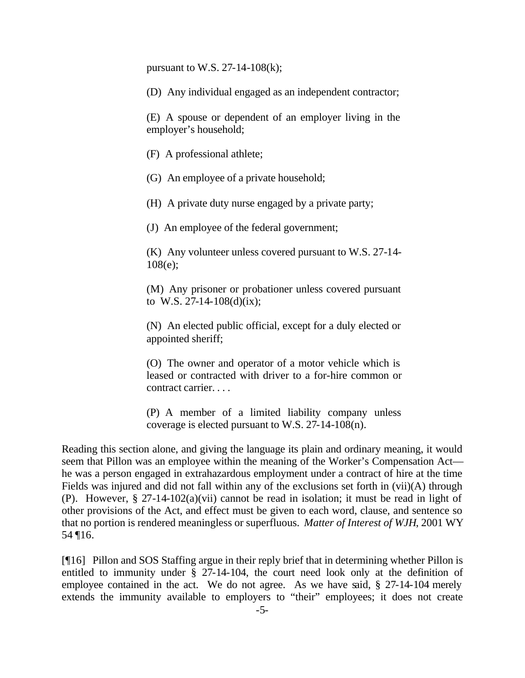pursuant to W.S. 27-14-108(k);

(D) Any individual engaged as an independent contractor;

(E) A spouse or dependent of an employer living in the employer's household;

(F) A professional athlete;

(G) An employee of a private household;

(H) A private duty nurse engaged by a private party;

(J) An employee of the federal government;

(K) Any volunteer unless covered pursuant to W.S. 27-14- 108(e);

(M) Any prisoner or probationer unless covered pursuant to W.S. 27-14-108(d)(ix);

(N) An elected public official, except for a duly elected or appointed sheriff;

(O) The owner and operator of a motor vehicle which is leased or contracted with driver to a for-hire common or contract carrier. . . .

(P) A member of a limited liability company unless coverage is elected pursuant to W.S. 27-14-108(n).

Reading this section alone, and giving the language its plain and ordinary meaning, it would seem that Pillon was an employee within the meaning of the Worker's Compensation Act he was a person engaged in extrahazardous employment under a contract of hire at the time Fields was injured and did not fall within any of the exclusions set forth in (vii)(A) through (P). However, § 27-14-102(a)(vii) cannot be read in isolation; it must be read in light of other provisions of the Act, and effect must be given to each word, clause, and sentence so that no portion is rendered meaningless or superfluous. *Matter of Interest of WJH*, 2001 WY 54 ¶16.

[¶16] Pillon and SOS Staffing argue in their reply brief that in determining whether Pillon is entitled to immunity under § 27-14-104, the court need look only at the definition of employee contained in the act. We do not agree. As we have said, § 27-14-104 merely extends the immunity available to employers to "their" employees; it does not create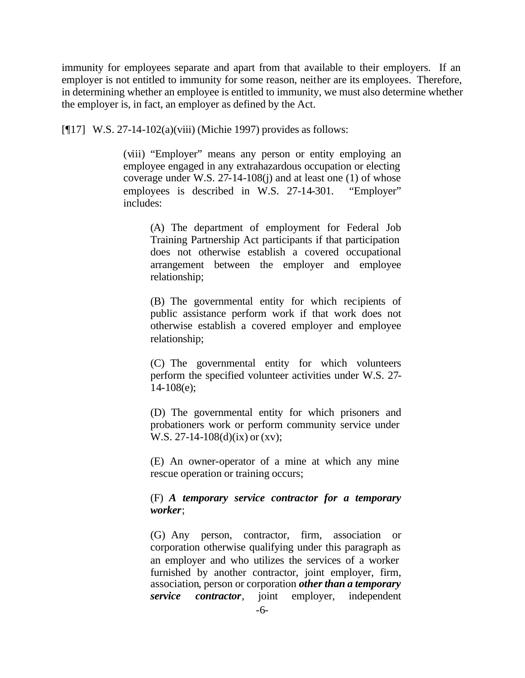immunity for employees separate and apart from that available to their employers. If an employer is not entitled to immunity for some reason, neither are its employees. Therefore, in determining whether an employee is entitled to immunity, we must also determine whether the employer is, in fact, an employer as defined by the Act.

[¶17] W.S. 27-14-102(a)(viii) (Michie 1997) provides as follows:

(viii) "Employer" means any person or entity employing an employee engaged in any extrahazardous occupation or electing coverage under W.S. 27-14-108(j) and at least one (1) of whose employees is described in W.S. 27-14-301. "Employer" includes:

(A) The department of employment for Federal Job Training Partnership Act participants if that participation does not otherwise establish a covered occupational arrangement between the employer and employee relationship;

(B) The governmental entity for which recipients of public assistance perform work if that work does not otherwise establish a covered employer and employee relationship;

(C) The governmental entity for which volunteers perform the specified volunteer activities under W.S. 27- 14-108(e);

(D) The governmental entity for which prisoners and probationers work or perform community service under W.S. 27-14-108(d)(ix) or (xv);

(E) An owner-operator of a mine at which any mine rescue operation or training occurs;

## (F) *A temporary service contractor for a temporary worker*;

(G) Any person, contractor, firm, association or corporation otherwise qualifying under this paragraph as an employer and who utilizes the services of a worker furnished by another contractor, joint employer, firm, association, person or corporation *other than a temporary service contractor*, joint employer, independent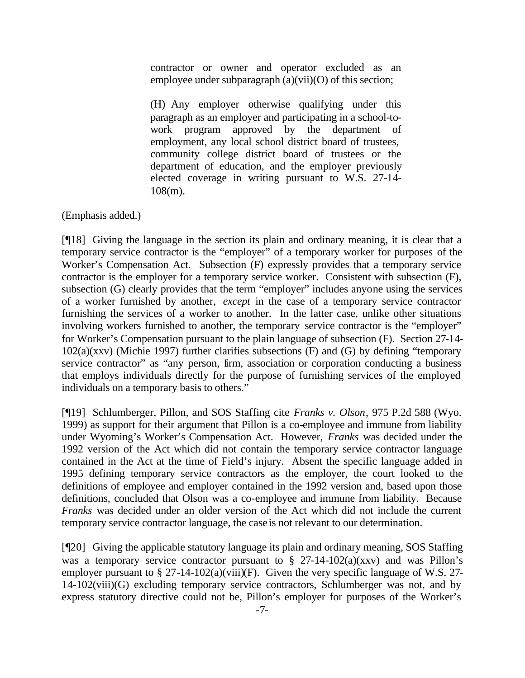contractor or owner and operator excluded as an employee under subparagraph  $(a)(vi)(O)$  of this section;

(H) Any employer otherwise qualifying under this paragraph as an employer and participating in a school-towork program approved by the department of employment, any local school district board of trustees, community college district board of trustees or the department of education, and the employer previously elected coverage in writing pursuant to W.S. 27-14- 108(m).

(Emphasis added.)

[¶18] Giving the language in the section its plain and ordinary meaning, it is clear that a temporary service contractor is the "employer" of a temporary worker for purposes of the Worker's Compensation Act. Subsection (F) expressly provides that a temporary service contractor is the employer for a temporary service worker. Consistent with subsection (F), subsection (G) clearly provides that the term "employer" includes anyone using the services of a worker furnished by another, *except* in the case of a temporary service contractor furnishing the services of a worker to another. In the latter case, unlike other situations involving workers furnished to another, the temporary service contractor is the "employer" for Worker's Compensation pursuant to the plain language of subsection (F). Section 27-14- 102(a)(xxv) (Michie 1997) further clarifies subsections (F) and (G) by defining "temporary service contractor" as "any person, firm, association or corporation conducting a business that employs individuals directly for the purpose of furnishing services of the employed individuals on a temporary basis to others."

[¶19] Schlumberger, Pillon, and SOS Staffing cite *Franks v. Olson*, 975 P.2d 588 (Wyo. 1999) as support for their argument that Pillon is a co-employee and immune from liability under Wyoming's Worker's Compensation Act. However, *Franks* was decided under the 1992 version of the Act which did not contain the temporary service contractor language contained in the Act at the time of Field's injury. Absent the specific language added in 1995 defining temporary service contractors as the employer, the court looked to the definitions of employee and employer contained in the 1992 version and, based upon those definitions, concluded that Olson was a co-employee and immune from liability. Because *Franks* was decided under an older version of the Act which did not include the current temporary service contractor language, the case is not relevant to our determination.

[¶20] Giving the applicable statutory language its plain and ordinary meaning, SOS Staffing was a temporary service contractor pursuant to  $\S$  27-14-102(a)(xxv) and was Pillon's employer pursuant to  $\S 27$ -14-102(a)(viii)(F). Given the very specific language of W.S. 27-14-102(viii)(G) excluding temporary service contractors, Schlumberger was not, and by express statutory directive could not be, Pillon's employer for purposes of the Worker's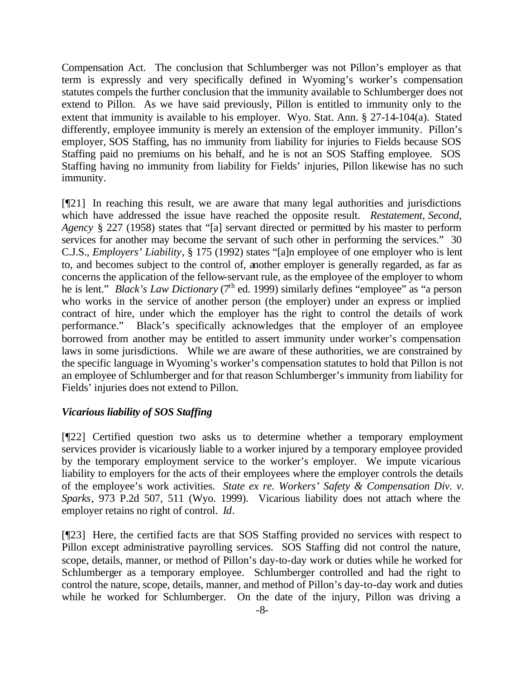Compensation Act. The conclusion that Schlumberger was not Pillon's employer as that term is expressly and very specifically defined in Wyoming's worker's compensation statutes compels the further conclusion that the immunity available to Schlumberger does not extend to Pillon. As we have said previously, Pillon is entitled to immunity only to the extent that immunity is available to his employer. Wyo. Stat. Ann. § 27-14-104(a). Stated differently, employee immunity is merely an extension of the employer immunity. Pillon's employer, SOS Staffing, has no immunity from liability for injuries to Fields because SOS Staffing paid no premiums on his behalf, and he is not an SOS Staffing employee. SOS Staffing having no immunity from liability for Fields' injuries, Pillon likewise has no such immunity.

[¶21] In reaching this result, we are aware that many legal authorities and jurisdictions which have addressed the issue have reached the opposite result. *Restatement, Second, Agency* § 227 (1958) states that "[a] servant directed or permitted by his master to perform services for another may become the servant of such other in performing the services." 30 C.J.S., *Employers' Liability*, § 175 (1992) states "[a]n employee of one employer who is lent to, and becomes subject to the control of, another employer is generally regarded, as far as concerns the application of the fellow-servant rule, as the employee of the employer to whom he is lent." *Black's Law Dictionary* (7<sup>th</sup> ed. 1999) similarly defines "employee" as "a person who works in the service of another person (the employer) under an express or implied contract of hire, under which the employer has the right to control the details of work performance." Black's specifically acknowledges that the employer of an employee borrowed from another may be entitled to assert immunity under worker's compensation laws in some jurisdictions. While we are aware of these authorities, we are constrained by the specific language in Wyoming's worker's compensation statutes to hold that Pillon is not an employee of Schlumberger and for that reason Schlumberger's immunity from liability for Fields' injuries does not extend to Pillon.

# *Vicarious liability of SOS Staffing*

[¶22] Certified question two asks us to determine whether a temporary employment services provider is vicariously liable to a worker injured by a temporary employee provided by the temporary employment service to the worker's employer. We impute vicarious liability to employers for the acts of their employees where the employer controls the details of the employee's work activities. *State ex re. Workers' Safety & Compensation Div. v. Sparks*, 973 P.2d 507, 511 (Wyo. 1999). Vicarious liability does not attach where the employer retains no right of control. *Id*.

[¶23] Here, the certified facts are that SOS Staffing provided no services with respect to Pillon except administrative payrolling services. SOS Staffing did not control the nature, scope, details, manner, or method of Pillon's day-to-day work or duties while he worked for Schlumberger as a temporary employee. Schlumberger controlled and had the right to control the nature, scope, details, manner, and method of Pillon's day-to-day work and duties while he worked for Schlumberger. On the date of the injury, Pillon was driving a